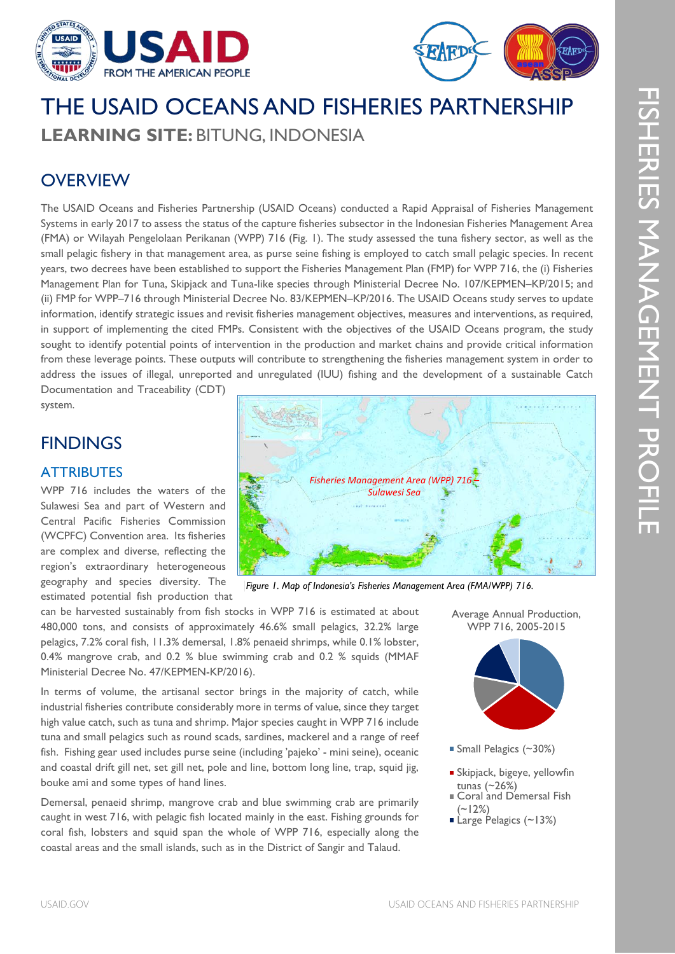



# THE USAID OCEANS AND FISHERIES PARTNERSHIP **LEARNING SITE:** BITUNG, INDONESIA

### **OVERVIEW**

The USAID Oceans and Fisheries Partnership (USAID Oceans) conducted a Rapid Appraisal of Fisheries Management Systems in early 2017 to assess the status of the capture fisheries subsector in the Indonesian Fisheries Management Area (FMA) or Wilayah Pengelolaan Perikanan (WPP) 716 (Fig. 1). The study assessed the tuna fishery sector, as well as the small pelagic fishery in that management area, as purse seine fishing is employed to catch small pelagic species. In recent years, two decrees have been established to support the Fisheries Management Plan (FMP) for WPP 716, the (i) Fisheries Management Plan for Tuna, Skipjack and Tuna-like species through Ministerial Decree No. 107/KEPMEN–KP/2015; and (ii) FMP for WPP–716 through Ministerial Decree No. 83/KEPMEN–KP/2016. The USAID Oceans study serves to update information, identify strategic issues and revisit fisheries management objectives, measures and interventions, as required, in support of implementing the cited FMPs. Consistent with the objectives of the USAID Oceans program, the study sought to identify potential points of intervention in the production and market chains and provide critical information from these leverage points. These outputs will contribute to strengthening the fisheries management system in order to address the issues of illegal, unreported and unregulated (IUU) fishing and the development of a sustainable Catch Documentation and Traceability (CDT)

system.

### **FINDINGS**

#### **ATTRIBUTES**

WPP 716 includes the waters of the Sulawesi Sea and part of Western and Central Pacific Fisheries Commission (WCPFC) Convention area. Its fisheries are complex and diverse, reflecting the region's extraordinary heterogeneous geography and species diversity. The estimated potential fish production that

*Fisheries Management Area (WPP) 716 – Sulawesi Sea* **Kalimant North Sulawesi**   $\overline{\partial}$ 

*Figure 1. Map of Indonesia's Fisheries Management Area (FMA/WPP) 716.*

can be harvested sustainably from fish stocks in WPP 716 is estimated at about 480,000 tons, and consists of approximately 46.6% small pelagics, 32.2% large pelagics, 7.2% coral fish, 11.3% demersal, 1.8% penaeid shrimps, while 0.1% lobster, 0.4% mangrove crab, and 0.2 % blue swimming crab and 0.2 % squids (MMAF Ministerial Decree No. 47/KEPMEN-KP/2016).

In terms of volume, the artisanal sector brings in the majority of catch, while industrial fisheries contribute considerably more in terms of value, since they target high value catch, such as tuna and shrimp. Major species caught in WPP 716 include tuna and small pelagics such as round scads, sardines, mackerel and a range of reef fish. Fishing gear used includes purse seine (including 'pajeko' - mini seine), oceanic and coastal drift gill net, set gill net, pole and line, bottom long line, trap, squid jig, bouke ami and some types of hand lines.

Demersal, penaeid shrimp, mangrove crab and blue swimming crab are primarily caught in west 716, with pelagic fish located mainly in the east. Fishing grounds for coral fish, lobsters and squid span the whole of WPP 716, especially along the coastal areas and the small islands, such as in the District of Sangir and Talaud.





- Small Pelagics (~30%)
- Skipjack, bigeye, yellowfin tunas (~26%)
- Coral and Demersal Fish  $(-12%)$
- Large Pelagics (~13%)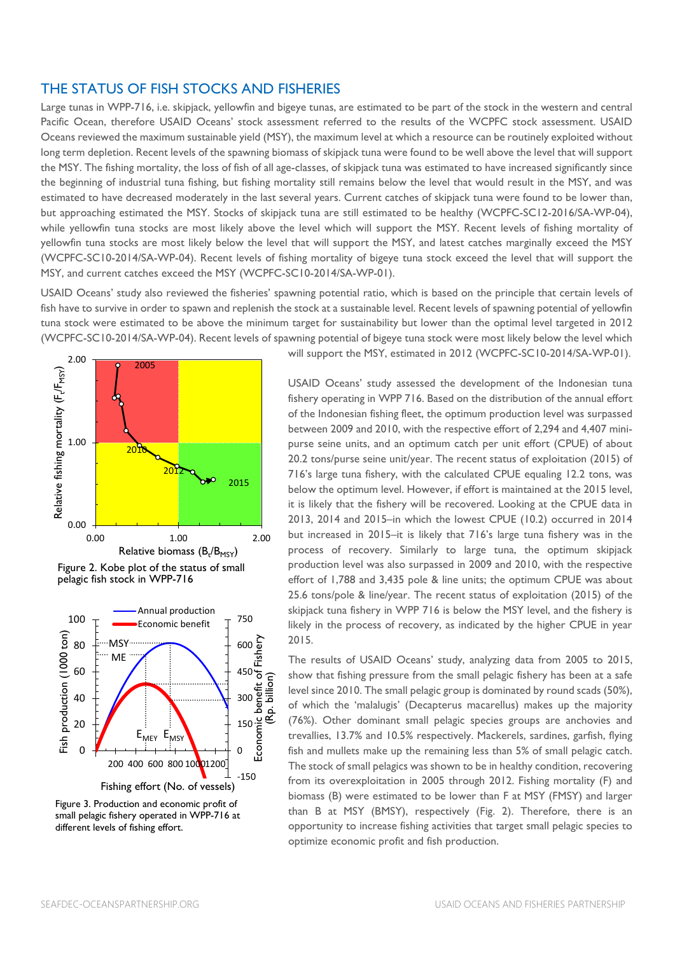#### THE STATUS OF FISH STOCKS AND FISHERIES

Large tunas in WPP-716, i.e. skipjack, yellowfin and bigeye tunas, are estimated to be part of the stock in the western and central Pacific Ocean, therefore USAID Oceans' stock assessment referred to the results of the WCPFC stock assessment. USAID Oceans reviewed the maximum sustainable yield (MSY), the maximum level at which a resource can be routinely exploited without long term depletion. Recent levels of the spawning biomass of skipjack tuna were found to be well above the level that will support the MSY. The fishing mortality, the loss of fish of all age-classes, of skipjack tuna was estimated to have increased significantly since the beginning of industrial tuna fishing, but fishing mortality still remains below the level that would result in the MSY, and was estimated to have decreased moderately in the last several years. Current catches of skipjack tuna were found to be lower than, but approaching estimated the MSY. Stocks of skipjack tuna are still estimated to be healthy (WCPFC-SC12-2016/SA-WP-04), while yellowfin tuna stocks are most likely above the level which will support the MSY. Recent levels of fishing mortality of yellowfin tuna stocks are most likely below the level that will support the MSY, and latest catches marginally exceed the MSY (WCPFC-SC10-2014/SA-WP-04). Recent levels of fishing mortality of bigeye tuna stock exceed the level that will support the MSY, and current catches exceed the MSY (WCPFC-SC10-2014/SA-WP-01).

USAID Oceans' study also reviewed the fisheries' spawning potential ratio, which is based on the principle that certain levels of fish have to survive in order to spawn and replenish the stock at a sustainable level. Recent levels of spawning potential of yellowfin tuna stock were estimated to be above the minimum target for sustainability but lower than the optimal level targeted in 2012 (WCPFC-SC10-2014/SA-WP-04). Recent levels of spawning potential of bigeye tuna stock were most likely below the level which







Figure 3. Production and economic profit of small pelagic fishery operated in WPP-716 at different levels of fishing effort.

will support the MSY, estimated in 2012 (WCPFC-SC10-2014/SA-WP-01).

USAID Oceans' study assessed the development of the Indonesian tuna fishery operating in WPP 716. Based on the distribution of the annual effort of the Indonesian fishing fleet, the optimum production level was surpassed between 2009 and 2010, with the respective effort of 2,294 and 4,407 minipurse seine units, and an optimum catch per unit effort (CPUE) of about 20.2 tons/purse seine unit/year. The recent status of exploitation (2015) of 716's large tuna fishery, with the calculated CPUE equaling 12.2 tons, was below the optimum level. However, if effort is maintained at the 2015 level, it is likely that the fishery will be recovered. Looking at the CPUE data in 2013, 2014 and 2015–in which the lowest CPUE (10.2) occurred in 2014 but increased in 2015–it is likely that 716's large tuna fishery was in the process of recovery. Similarly to large tuna, the optimum skipjack production level was also surpassed in 2009 and 2010, with the respective effort of 1,788 and 3,435 pole & line units; the optimum CPUE was about 25.6 tons/pole & line/year. The recent status of exploitation (2015) of the skipjack tuna fishery in WPP 716 is below the MSY level, and the fishery is likely in the process of recovery, as indicated by the higher CPUE in year 2015.

The results of USAID Oceans' study, analyzing data from 2005 to 2015, show that fishing pressure from the small pelagic fishery has been at a safe level since 2010. The small pelagic group is dominated by round scads (50%), of which the 'malalugis' (Decapterus macarellus) makes up the majority (76%). Other dominant small pelagic species groups are anchovies and trevallies, 13.7% and 10.5% respectively. Mackerels, sardines, garfish, flying fish and mullets make up the remaining less than 5% of small pelagic catch. The stock of small pelagics was shown to be in healthy condition, recovering from its overexploitation in 2005 through 2012. Fishing mortality (F) and biomass (B) were estimated to be lower than F at MSY (FMSY) and larger than B at MSY (BMSY), respectively (Fig. 2). Therefore, there is an opportunity to increase fishing activities that target small pelagic species to optimize economic profit and fish production.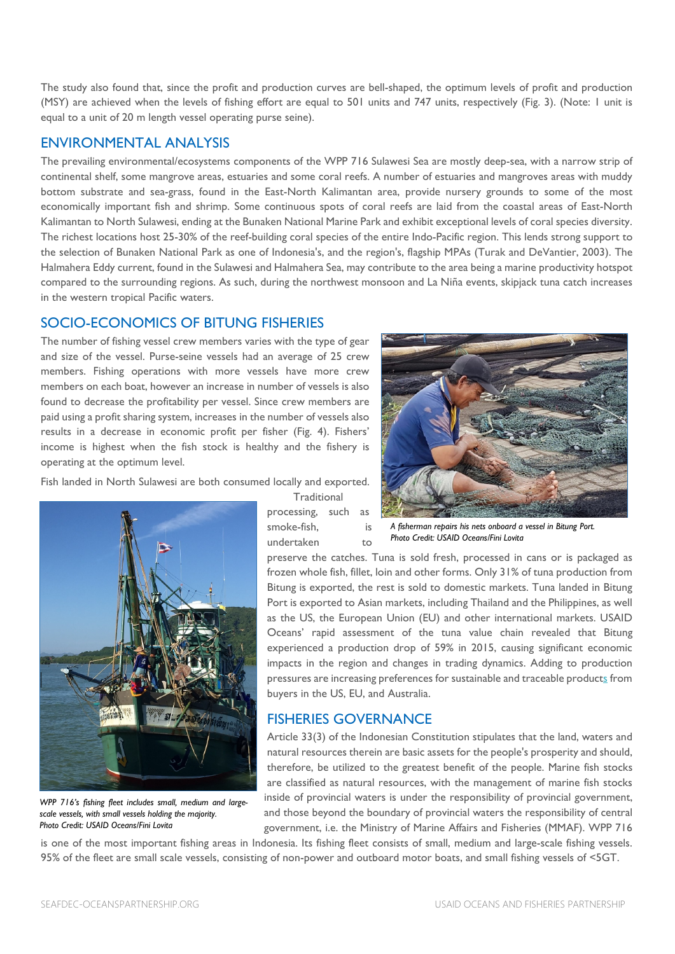The study also found that, since the profit and production curves are bell-shaped, the optimum levels of profit and production (MSY) are achieved when the levels of fishing effort are equal to 501 units and 747 units, respectively (Fig. 3). (Note: 1 unit is equal to a unit of 20 m length vessel operating purse seine).

#### ENVIRONMENTAL ANALYSIS

The prevailing environmental/ecosystems components of the WPP 716 Sulawesi Sea are mostly deep-sea, with a narrow strip of continental shelf, some mangrove areas, estuaries and some coral reefs. A number of estuaries and mangroves areas with muddy bottom substrate and sea-grass, found in the East-North Kalimantan area, provide nursery grounds to some of the most economically important fish and shrimp. Some continuous spots of coral reefs are laid from the coastal areas of East-North Kalimantan to North Sulawesi, ending at the Bunaken National Marine Park and exhibit exceptional levels of coral species diversity. The richest locations host 25-30% of the reef-building coral species of the entire Indo-Pacific region. This lends strong support to the selection of Bunaken National Park as one of Indonesia's, and the region's, flagship MPAs (Turak and DeVantier, 2003). The Halmahera Eddy current, found in the Sulawesi and Halmahera Sea, may contribute to the area being a marine productivity hotspot compared to the surrounding regions. As such, during the northwest monsoon and La Niña events, skipjack tuna catch increases in the western tropical Pacific waters.

#### SOCIO-ECONOMICS OF BITUNG FISHERIES

The number of fishing vessel crew members varies with the type of gear and size of the vessel. Purse-seine vessels had an average of 25 crew members. Fishing operations with more vessels have more crew members on each boat, however an increase in number of vessels is also found to decrease the profitability per vessel. Since crew members are paid using a profit sharing system, increases in the number of vessels also results in a decrease in economic profit per fisher (Fig. 4). Fishers' income is highest when the fish stock is healthy and the fishery is operating at the optimum level.

Fish landed in North Sulawesi are both consumed locally and exported.



*WPP 716's fishing fleet includes small, medium and largescale vessels, with small vessels holding the majority. Photo Credit: USAID Oceans/Fini Lovita*

**Traditional** processing, such as smoke-fish, is undertaken to



*A fisherman repairs his nets onboard a vessel in Bitung Port. Photo Credit: USAID Oceans/Fini Lovita*

preserve the catches. Tuna is sold fresh, processed in cans or is packaged as frozen whole fish, fillet, loin and other forms. Only 31% of tuna production from Bitung is exported, the rest is sold to domestic markets. Tuna landed in Bitung Port is exported to Asian markets, including Thailand and the Philippines, as well as the US, the European Union (EU) and other international markets. USAID Oceans' rapid assessment of the tuna value chain revealed that Bitung experienced a production drop of 59% in 2015, causing significant economic impacts in the region and changes in trading dynamics. Adding to production pressures are increasing preferences for sustainable and traceable products from buyers in the US, EU, and Australia.

#### FISHERIES GOVERNANCE

Article 33(3) of the Indonesian Constitution stipulates that the land, waters and natural resources therein are basic assets for the people's prosperity and should, therefore, be utilized to the greatest benefit of the people. Marine fish stocks are classified as natural resources, with the management of marine fish stocks inside of provincial waters is under the responsibility of provincial government, and those beyond the boundary of provincial waters the responsibility of central government, i.e. the Ministry of Marine Affairs and Fisheries (MMAF). WPP 716

is one of the most important fishing areas in Indonesia. Its fishing fleet consists of small, medium and large-scale fishing vessels. 95% of the fleet are small scale vessels, consisting of non-power and outboard motor boats, and small fishing vessels of <5GT.